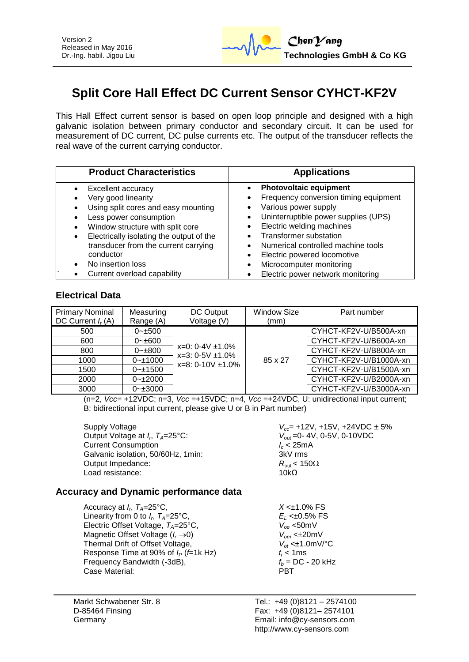

# **Split Core Hall Effect DC Current Sensor CYHCT-KF2V**

This Hall Effect current sensor is based on open loop principle and designed with a high galvanic isolation between primary conductor and secondary circuit. It can be used for measurement of DC current, DC pulse currents etc. The output of the transducer reflects the real wave of the current carrying conductor.

| <b>Product Characteristics</b>           | <b>Applications</b>                   |  |  |
|------------------------------------------|---------------------------------------|--|--|
| Excellent accuracy                       | <b>Photovoltaic equipment</b>         |  |  |
| Very good linearity                      | Frequency conversion timing equipment |  |  |
| Using split cores and easy mounting      | Various power supply                  |  |  |
| Less power consumption                   | Uninterruptible power supplies (UPS)  |  |  |
| Window structure with split core         | Electric welding machines             |  |  |
| Electrically isolating the output of the | <b>Transformer substation</b>         |  |  |
| transducer from the current carrying     | Numerical controlled machine tools    |  |  |
| conductor                                | Electric powered locomotive           |  |  |
| No insertion loss                        | Microcomputer monitoring              |  |  |
| Current overload capability              | Electric power network monitoring     |  |  |

## **Electrical Data**

| <b>Primary Nominal</b><br>DC Current $I_r(A)$ | Measuring<br>Range (A) | DC Output<br>Voltage (V)                                                   | <b>Window Size</b><br>(mm) | Part number            |
|-----------------------------------------------|------------------------|----------------------------------------------------------------------------|----------------------------|------------------------|
| 500                                           | $0 - 500$              | $x=0$ : 0-4V $\pm$ 1.0%<br>$x=3: 0-5V \pm 1.0\%$<br>$x=8: 0-10V \pm 1.0\%$ |                            | CYHCT-KF2V-U/B500A-xn  |
| 600                                           | $0 - \pm 600$          |                                                                            |                            | CYHCT-KF2V-U/B600A-xn  |
| 800                                           | $0 - \pm 800$          |                                                                            | 85 x 27                    | CYHCT-KF2V-U/B800A-xn  |
| 1000                                          | $0 - 1000$             |                                                                            |                            | CYHCT-KF2V-U/B1000A-xn |
| 1500                                          | $0 - 1500$             |                                                                            |                            | CYHCT-KF2V-U/B1500A-xn |
| 2000                                          | $0 - 2000$             |                                                                            |                            | CYHCT-KF2V-U/B2000A-xn |
| 3000                                          | $0 - \pm 3000$         |                                                                            |                            | CYHCT-KF2V-U/B3000A-xn |

 $(n=2, \text{ Vcc} = +12 \text{ VDC}; n=3, \text{ Vcc} = +15 \text{ VDC}; n=4, \text{ Vcc} = +24 \text{ VDC}, U:$  unidirectional input current; B: bidirectional input current, please give U or B in Part number)

Supply Voltage *V<sub>cc</sub>* +12V, +15V, +24VDC  $\pm$  5% Output Voltage at *I<sub><i>r*</sub></sub> $T_A=25^{\circ}$ C: Current Consumption<br>Galvanic isolation, 50/60Hz, 1min:<br>3kV rms Galvanic isolation, 50/60Hz, 1min: Output Impedance: *R*<sub>out</sub> < 150Ω<br>Load resistance: 10kO Load resistance:

*V*<sub>out</sub> = 0-4V, 0-5V, 0-10VDC<br>*I<sub>c</sub>* < 25mA

## **Accuracy and Dynamic performance data**

Accuracy at *I<sub>p</sub>*,  $T_A=25^{\circ}C$ , Linearity from 0 to  $I_r$ ,  $T_A = 25^\circ \text{C}$ , Electric Offset Voltage, *TA*=25°C, *Voe* <50mV Magnetic Offset Voltage (*I<sub>r</sub>*  $\rightarrow$  0) *V*<sub>om</sub> <±20mV<br>Thermal Drift of Offset Voltage,  $V_{ot}$  <±1.0mV/°C Thermal Drift of Offset Voltage,  $V_{ot} < \pm 1.0$ <br>Response Time at 90% of  $I_P$  (*f*=1k Hz)  $t_r < 1$ ms Response Time at 90% of  $I_P$  (*f*=1k Hz)  $t_r < 1$ ms<br>Frequency Bandwidth (-3dB),  $f_b = DC - 20$  kHz Frequency Bandwidth (-3dB),  $f_b = 0$ <br>Case Material: **PBT** Case Material:

 $X < \pm 1.0\%$  FS , *TA*=25°C, *E<sup>L</sup>* <±0.5% FS